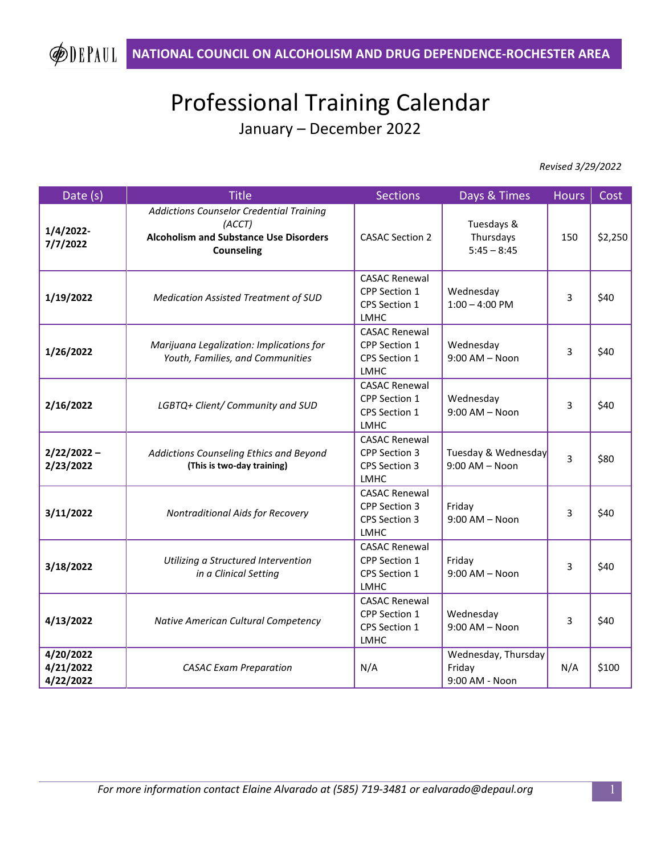## Professional Training Calendar January – December 2022

 *Revised 3/29/2022*

| Date (s)                            | <b>Title</b>                                                                                                             | <b>Sections</b>                                                                     | Days & Times                                    | <b>Hours</b> | Cost    |
|-------------------------------------|--------------------------------------------------------------------------------------------------------------------------|-------------------------------------------------------------------------------------|-------------------------------------------------|--------------|---------|
| 1/4/2022-<br>7/7/2022               | Addictions Counselor Credential Training<br>(ACCT)<br><b>Alcoholism and Substance Use Disorders</b><br><b>Counseling</b> | <b>CASAC Section 2</b>                                                              | Tuesdays &<br>Thursdays<br>$5:45 - 8:45$        | 150          | \$2,250 |
| 1/19/2022                           | <b>Medication Assisted Treatment of SUD</b>                                                                              | <b>CASAC Renewal</b><br>CPP Section 1<br>CPS Section 1<br><b>LMHC</b>               | Wednesday<br>$1:00 - 4:00$ PM                   | 3            | \$40    |
| 1/26/2022                           | Marijuana Legalization: Implications for<br>Youth, Families, and Communities                                             | <b>CASAC Renewal</b><br>CPP Section 1<br>CPS Section 1<br><b>LMHC</b>               | Wednesday<br>$9:00$ AM - Noon                   | 3            | \$40    |
| 2/16/2022                           | LGBTQ+ Client/ Community and SUD                                                                                         | <b>CASAC Renewal</b><br>CPP Section 1<br>CPS Section 1<br><b>LMHC</b>               | Wednesday<br>$9:00$ AM - Noon                   | 3            | \$40    |
| $2/22/2022 -$<br>2/23/2022          | Addictions Counseling Ethics and Beyond<br>(This is two-day training)                                                    | <b>CASAC Renewal</b><br>CPP Section 3<br><b>CPS Section 3</b><br><b>LMHC</b>        | Tuesday & Wednesday<br>$9:00$ AM - Noon         | 3            | \$80    |
| 3/11/2022                           | Nontraditional Aids for Recovery                                                                                         | <b>CASAC Renewal</b><br><b>CPP Section 3</b><br><b>CPS Section 3</b><br><b>LMHC</b> | Friday<br>$9:00$ AM - Noon                      | 3            | \$40    |
| 3/18/2022                           | Utilizing a Structured Intervention<br>in a Clinical Setting                                                             | <b>CASAC Renewal</b><br>CPP Section 1<br>CPS Section 1<br><b>LMHC</b>               | Friday<br>$9:00$ AM - Noon                      | 3            | \$40    |
| 4/13/2022                           | Native American Cultural Competency                                                                                      | <b>CASAC Renewal</b><br>CPP Section 1<br>CPS Section 1<br><b>LMHC</b>               | Wednesday<br>$9:00$ AM - Noon                   | 3            | \$40    |
| 4/20/2022<br>4/21/2022<br>4/22/2022 | <b>CASAC Exam Preparation</b>                                                                                            | N/A                                                                                 | Wednesday, Thursday<br>Friday<br>9:00 AM - Noon | N/A          | \$100   |